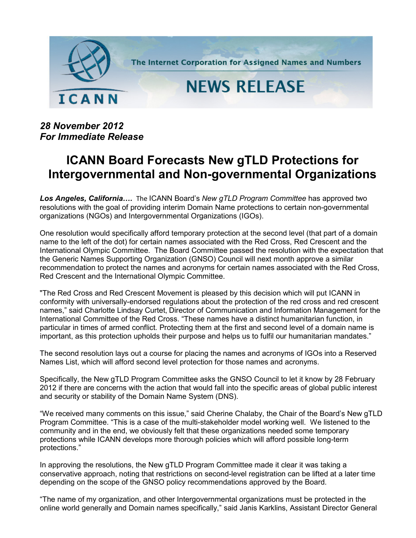

*28 November 2012 For Immediate Release*

## **ICANN Board Forecasts New gTLD Protections for Intergovernmental and Non-governmental Organizations**

*Los Angeles, California….* The ICANN Board's *New gTLD Program Committee* has approved two resolutions with the goal of providing interim Domain Name protections to certain non-governmental organizations (NGOs) and Intergovernmental Organizations (IGOs).

One resolution would specifically afford temporary protection at the second level (that part of a domain name to the left of the dot) for certain names associated with the Red Cross, Red Crescent and the International Olympic Committee. The Board Committee passed the resolution with the expectation that the Generic Names Supporting Organization (GNSO) Council will next month approve a similar recommendation to protect the names and acronyms for certain names associated with the Red Cross, Red Crescent and the International Olympic Committee.

"The Red Cross and Red Crescent Movement is pleased by this decision which will put ICANN in conformity with universally-endorsed regulations about the protection of the red cross and red crescent names," said Charlotte Lindsay Curtet, Director of Communication and Information Management for the International Committee of the Red Cross. "These names have a distinct humanitarian function, in particular in times of armed conflict. Protecting them at the first and second level of a domain name is important, as this protection upholds their purpose and helps us to fulfil our humanitarian mandates."

The second resolution lays out a course for placing the names and acronyms of IGOs into a Reserved Names List, which will afford second level protection for those names and acronyms.

Specifically, the New gTLD Program Committee asks the GNSO Council to let it know by 28 February 2012 if there are concerns with the action that would fall into the specific areas of global public interest and security or stability of the Domain Name System (DNS).

"We received many comments on this issue," said Cherine Chalaby, the Chair of the Board's New gTLD Program Committee. "This is a case of the multi-stakeholder model working well. We listened to the community and in the end, we obviously felt that these organizations needed some temporary protections while ICANN develops more thorough policies which will afford possible long-term protections."

In approving the resolutions, the New gTLD Program Committee made it clear it was taking a conservative approach, noting that restrictions on second-level registration can be lifted at a later time depending on the scope of the GNSO policy recommendations approved by the Board.

"The name of my organization, and other Intergovernmental organizations must be protected in the online world generally and Domain names specifically," said Janis Karklins, Assistant Director General